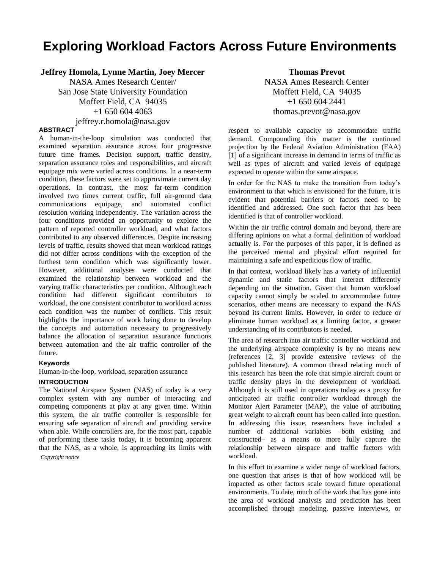# **Exploring Workload Factors Across Future Environments**

# **Jeffrey Homola, Lynne Martin, Joey Mercer**

NASA Ames Research Center/ San Jose State University Foundation Moffett Field, CA 94035  $+1$  650 604 4063 jeffrey.r.homola@nasa.gov

# **ABSTRACT**

A human-in-the-loop simulation was conducted that examined separation assurance across four progressive future time frames. Decision support, traffic density, separation assurance roles and responsibilities, and aircraft equipage mix were varied across conditions. In a near-term condition, these factors were set to approximate current day operations. In contrast, the most far-term condition involved two times current traffic, full air-ground data communications equipage, and automated conflict resolution working independently. The variation across the four conditions provided an opportunity to explore the pattern of reported controller workload, and what factors contributed to any observed differences. Despite increasing levels of traffic, results showed that mean workload ratings did not differ across conditions with the exception of the furthest term condition which was significantly lower. However, additional analyses were conducted that examined the relationship between workload and the varying traffic characteristics per condition. Although each condition had different significant contributors to workload, the one consistent contributor to workload across each condition was the number of conflicts. This result highlights the importance of work being done to develop the concepts and automation necessary to progressively balance the allocation of separation assurance functions between automation and the air traffic controller of the future.

#### **Keywords**

Human-in-the-loop, workload, separation assurance

# **INTRODUCTION**

The National Airspace System (NAS) of today is a very complex system with any number of interacting and competing components at play at any given time. Within this system, the air traffic controller is responsible for ensuring safe separation of aircraft and providing service when able. While controllers are, for the most part, capable of performing these tasks today, it is becoming apparent that the NAS, as a whole, is approaching its limits with *Copyright notice*

**Thomas Prevot** NASA Ames Research Center Moffett Field, CA 94035 +1 650 604 2441 thomas.prevot@nasa.gov

respect to available capacity to accommodate traffic demand. Compounding this matter is the continued projection by the Federal Aviation Administration (FAA) [1] of a significant increase in demand in terms of traffic as well as types of aircraft and varied levels of equipage expected to operate within the same airspace.

In order for the NAS to make the transition from today's environment to that which is envisioned for the future, it is evident that potential barriers or factors need to be identified and addressed. One such factor that has been identified is that of controller workload.

Within the air traffic control domain and beyond, there are differing opinions on what a formal definition of workload actually is. For the purposes of this paper, it is defined as the perceived mental and physical effort required for maintaining a safe and expeditious flow of traffic.

In that context, workload likely has a variety of influential dynamic and static factors that interact differently depending on the situation. Given that human workload capacity cannot simply be scaled to accommodate future scenarios, other means are necessary to expand the NAS beyond its current limits. However, in order to reduce or eliminate human workload as a limiting factor, a greater understanding of its contributors is needed.

The area of research into air traffic controller workload and the underlying airspace complexity is by no means new (references [2, 3] provide extensive reviews of the published literature). A common thread relating much of this research has been the role that simple aircraft count or traffic density plays in the development of workload. Although it is still used in operations today as a proxy for anticipated air traffic controller workload through the Monitor Alert Parameter (MAP), the value of attributing great weight to aircraft count has been called into question. In addressing this issue, researchers have included a number of additional variables –both existing and constructed– as a means to more fully capture the relationship between airspace and traffic factors with workload.

In this effort to examine a wider range of workload factors, one question that arises is that of how workload will be impacted as other factors scale toward future operational environments. To date, much of the work that has gone into the area of workload analysis and prediction has been accomplished through modeling, passive interviews, or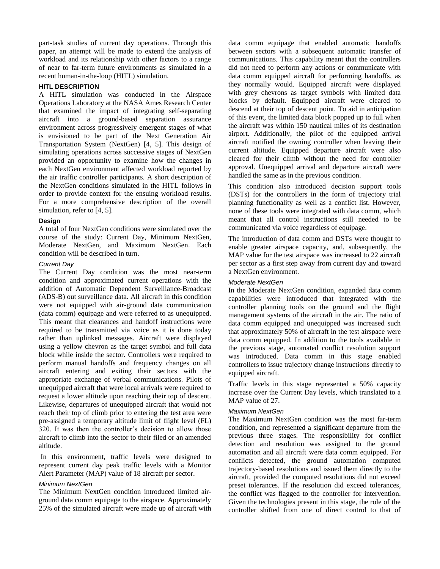part-task studies of current day operations. Through this paper, an attempt will be made to extend the analysis of workload and its relationship with other factors to a range of near to far-term future environments as simulated in a recent human-in-the-loop (HITL) simulation.

# **HITL DESCRIPTION**

A HITL simulation was conducted in the Airspace Operations Laboratory at the NASA Ames Research Center that examined the impact of integrating self-separating aircraft into a ground-based separation assurance environment across progressively emergent stages of what is envisioned to be part of the Next Generation Air Transportation System (NextGen) [4, 5]. This design of simulating operations across successive stages of NextGen provided an opportunity to examine how the changes in each NextGen environment affected workload reported by the air traffic controller participants. A short description of the NextGen conditions simulated in the HITL follows in order to provide context for the ensuing workload results. For a more comprehensive description of the overall simulation, refer to [4, 5].

#### **Design**

A total of four NextGen conditions were simulated over the course of the study: Current Day, Minimum NextGen, Moderate NextGen, and Maximum NextGen. Each condition will be described in turn.

#### *Current Day*

The Current Day condition was the most near-term condition and approximated current operations with the addition of Automatic Dependent Surveillance-Broadcast (ADS-B) out surveillance data. All aircraft in this condition were not equipped with air-ground data communication (data comm) equipage and were referred to as unequipped. This meant that clearances and handoff instructions were required to be transmitted via voice as it is done today rather than uplinked messages. Aircraft were displayed using a yellow chevron as the target symbol and full data block while inside the sector. Controllers were required to perform manual handoffs and frequency changes on all aircraft entering and exiting their sectors with the appropriate exchange of verbal communications. Pilots of unequipped aircraft that were local arrivals were required to request a lower altitude upon reaching their top of descent. Likewise, departures of unequipped aircraft that would not reach their top of climb prior to entering the test area were pre-assigned a temporary altitude limit of flight level (FL) 320. It was then the controller's decision to allow those aircraft to climb into the sector to their filed or an amended altitude.

In this environment, traffic levels were designed to represent current day peak traffic levels with a Monitor Alert Parameter (MAP) value of 18 aircraft per sector.

#### *Minimum NextGen*

The Minimum NextGen condition introduced limited airground data comm equipage to the airspace. Approximately 25% of the simulated aircraft were made up of aircraft with data comm equipage that enabled automatic handoffs between sectors with a subsequent automatic transfer of communications. This capability meant that the controllers did not need to perform any actions or communicate with data comm equipped aircraft for performing handoffs, as they normally would. Equipped aircraft were displayed with grey chevrons as target symbols with limited data blocks by default. Equipped aircraft were cleared to descend at their top of descent point. To aid in anticipation of this event, the limited data block popped up to full when the aircraft was within 150 nautical miles of its destination airport. Additionally, the pilot of the equipped arrival aircraft notified the owning controller when leaving their current altitude. Equipped departure aircraft were also cleared for their climb without the need for controller approval. Unequipped arrival and departure aircraft were handled the same as in the previous condition.

This condition also introduced decision support tools (DSTs) for the controllers in the form of trajectory trial planning functionality as well as a conflict list. However, none of these tools were integrated with data comm, which meant that all control instructions still needed to be communicated via voice regardless of equipage.

The introduction of data comm and DSTs were thought to enable greater airspace capacity, and, subsequently, the MAP value for the test airspace was increased to 22 aircraft per sector as a first step away from current day and toward a NextGen environment.

#### *Moderate NextGen*

In the Moderate NextGen condition, expanded data comm capabilities were introduced that integrated with the controller planning tools on the ground and the flight management systems of the aircraft in the air. The ratio of data comm equipped and unequipped was increased such that approximately 50% of aircraft in the test airspace were data comm equipped. In addition to the tools available in the previous stage, automated conflict resolution support was introduced. Data comm in this stage enabled controllers to issue trajectory change instructions directly to equipped aircraft.

Traffic levels in this stage represented a 50% capacity increase over the Current Day levels, which translated to a MAP value of 27.

#### *Maximum NextGen*

The Maximum NextGen condition was the most far-term condition, and represented a significant departure from the previous three stages. The responsibility for conflict detection and resolution was assigned to the ground automation and all aircraft were data comm equipped. For conflicts detected, the ground automation computed trajectory-based resolutions and issued them directly to the aircraft, provided the computed resolutions did not exceed preset tolerances. If the resolution did exceed tolerances, the conflict was flagged to the controller for intervention. Given the technologies present in this stage, the role of the controller shifted from one of direct control to that of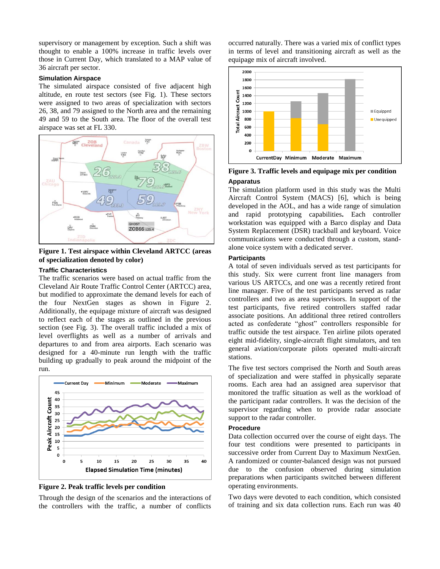supervisory or management by exception. Such a shift was thought to enable a 100% increase in traffic levels over those in Current Day, which translated to a MAP value of 36 aircraft per sector.

# **Simulation Airspace**

The simulated airspace consisted of five adjacent high altitude, en route test sectors (see Fig. 1). These sectors were assigned to two areas of specialization with sectors 26, 38, and 79 assigned to the North area and the remaining 49 and 59 to the South area. The floor of the overall test airspace was set at FL 330.



**Figure 1. Test airspace within Cleveland ARTCC (areas of specialization denoted by color)**

#### **Traffic Characteristics**

The traffic scenarios were based on actual traffic from the Cleveland Air Route Traffic Control Center (ARTCC) area, but modified to approximate the demand levels for each of the four NextGen stages as shown in Figure 2. Additionally, the equipage mixture of aircraft was designed to reflect each of the stages as outlined in the previous section (see Fig. 3). The overall traffic included a mix of level overflights as well as a number of arrivals and departures to and from area airports. Each scenario was designed for a 40-minute run length with the traffic building up gradually to peak around the midpoint of the run.



**Figure 2. Peak traffic levels per condition**

Through the design of the scenarios and the interactions of the controllers with the traffic, a number of conflicts

occurred naturally. There was a varied mix of conflict types in terms of level and transitioning aircraft as well as the equipage mix of aircraft involved.



**Figure 3. Traffic levels and equipage mix per condition Apparatus**

The simulation platform used in this study was the Multi Aircraft Control System (MACS) [6], which is being developed in the AOL, and has a wide range of simulation and rapid prototyping capabilities**.** Each controller workstation was equipped with a Barco display and Data System Replacement (DSR) trackball and keyboard. Voice communications were conducted through a custom, standalone voice system with a dedicated server.

#### **Participants**

A total of seven individuals served as test participants for this study. Six were current front line managers from various US ARTCCs, and one was a recently retired front line manager. Five of the test participants served as radar controllers and two as area supervisors. In support of the test participants, five retired controllers staffed radar associate positions. An additional three retired controllers acted as confederate "ghost" controllers responsible for traffic outside the test airspace. Ten airline pilots operated eight mid-fidelity, single-aircraft flight simulators, and ten general aviation/corporate pilots operated multi-aircraft stations.

The five test sectors comprised the North and South areas of specialization and were staffed in physically separate rooms. Each area had an assigned area supervisor that monitored the traffic situation as well as the workload of the participant radar controllers. It was the decision of the supervisor regarding when to provide radar associate support to the radar controller.

#### **Procedure**

Data collection occurred over the course of eight days. The four test conditions were presented to participants in successive order from Current Day to Maximum NextGen. A randomized or counter-balanced design was not pursued due to the confusion observed during simulation preparations when participants switched between different operating environments.

Two days were devoted to each condition, which consisted of training and six data collection runs. Each run was 40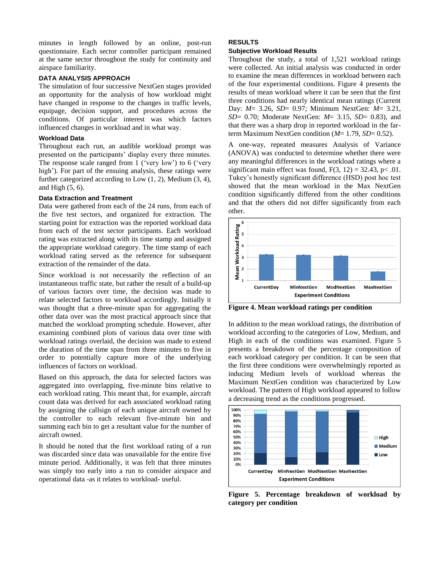minutes in length followed by an online, post-run questionnaire. Each sector controller participant remained at the same sector throughout the study for continuity and airspace familiarity.

# **DATA ANALYSIS APPROACH**

The simulation of four successive NextGen stages provided an opportunity for the analysis of how workload might have changed in response to the changes in traffic levels, equipage, decision support, and procedures across the conditions. Of particular interest was which factors influenced changes in workload and in what way.

# **Workload Data**

Throughout each run, an audible workload prompt was presented on the participants' display every three minutes. The response scale ranged from 1 ('very low') to 6 ('very high'). For part of the ensuing analysis, these ratings were further categorized according to Low (1, 2), Medium (3, 4), and High (5, 6).

# **Data Extraction and Treatment**

Data were gathered from each of the 24 runs, from each of the five test sectors, and organized for extraction. The starting point for extraction was the reported workload data from each of the test sector participants. Each workload rating was extracted along with its time stamp and assigned the appropriate workload category. The time stamp of each workload rating served as the reference for subsequent extraction of the remainder of the data.

Since workload is not necessarily the reflection of an instantaneous traffic state, but rather the result of a build-up of various factors over time, the decision was made to relate selected factors to workload accordingly. Initially it was thought that a three-minute span for aggregating the other data over was the most practical approach since that matched the workload prompting schedule. However, after examining combined plots of various data over time with workload ratings overlaid, the decision was made to extend the duration of the time span from three minutes to five in order to potentially capture more of the underlying influences of factors on workload.

Based on this approach, the data for selected factors was aggregated into overlapping, five-minute bins relative to each workload rating. This meant that, for example, aircraft count data was derived for each associated workload rating by assigning the callsign of each unique aircraft owned by the controller to each relevant five-minute bin and summing each bin to get a resultant value for the number of aircraft owned.

It should be noted that the first workload rating of a run was discarded since data was unavailable for the entire five minute period. Additionally, it was felt that three minutes was simply too early into a run to consider airspace and operational data -as it relates to workload- useful.

#### **RESULTS**

#### **Subjective Workload Results**

Throughout the study, a total of 1,521 workload ratings were collected. An initial analysis was conducted in order to examine the mean differences in workload between each of the four experimental conditions. Figure 4 presents the results of mean workload where it can be seen that the first three conditions had nearly identical mean ratings (Current Day: *M*= 3.26, *SD*= 0.97; Minimum NextGen: *M*= 3.21, *SD*= 0.70; Moderate NextGen: *M*= 3.15, *SD*= 0.83), and that there was a sharp drop in reported workload in the farterm Maximum NextGen condition ( $M= 1.79$ , *SD*= 0.52).

A one-way, repeated measures Analysis of Variance (ANOVA) was conducted to determine whether there were any meaningful differences in the workload ratings where a significant main effect was found,  $F(3, 12) = 32.43$ , p< .01. Tukey's honestly significant difference (HSD) post hoc test showed that the mean workload in the Max NextGen condition significantly differed from the other conditions and that the others did not differ significantly from each other.



**Figure 4. Mean workload ratings per condition**

In addition to the mean workload ratings, the distribution of workload according to the categories of Low, Medium, and High in each of the conditions was examined. Figure 5 presents a breakdown of the percentage composition of each workload category per condition. It can be seen that the first three conditions were overwhelmingly reported as inducing Medium levels of workload whereas the Maximum NextGen condition was characterized by Low workload. The pattern of High workload appeared to follow a decreasing trend as the conditions progressed.



**Figure 5. Percentage breakdown of workload by category per condition**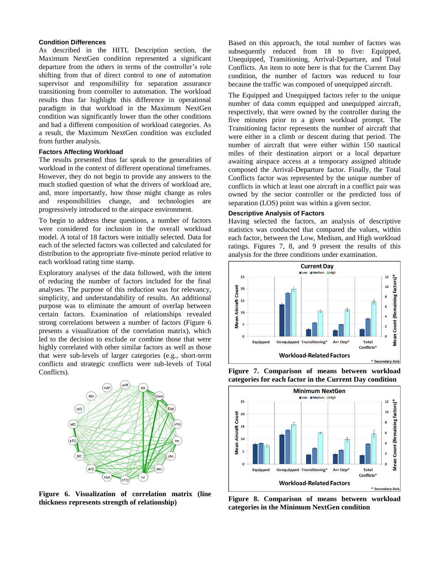#### **Condition Differences**

As described in the HITL Description section, the Maximum NextGen condition represented a significant departure from the others in terms of the controller's role shifting from that of direct control to one of automation supervisor and responsibility for separation assurance transitioning from controller to automation. The workload results thus far highlight this difference in operational paradigm in that workload in the Maximum NextGen condition was significantly lower than the other conditions and had a different composition of workload categories. As a result, the Maximum NextGen condition was excluded from further analysis.

#### **Factors Affecting Workload**

The results presented thus far speak to the generalities of workload in the context of different operational timeframes. However, they do not begin to provide any answers to the much studied question of what the drivers of workload are, and, more importantly, how those might change as roles and responsibilities change, and technologies are progressively introduced to the airspace environment.

To begin to address these questions, a number of factors were considered for inclusion in the overall workload model. A total of 18 factors were initially selected. Data for each of the selected factors was collected and calculated for distribution to the appropriate five-minute period relative to each workload rating time stamp.

Exploratory analyses of the data followed, with the intent of reducing the number of factors included for the final analyses. The purpose of this reduction was for relevancy, simplicity, and understandability of results. An additional purpose was to eliminate the amount of overlap between certain factors. Examination of relationships revealed strong correlations between a number of factors (Figure 6 presents a visualization of the correlation matrix), which led to the decision to exclude or combine those that were highly correlated with other similar factors as well as those that were sub-levels of larger categories (e.g., short-term conflicts and strategic conflicts were sub-levels of Total Conflicts).



**Figure 6. Visualization of correlation matrix (line thickness represents strength of relationship)**

Based on this approach, the total number of factors was subsequently reduced from 18 to five: Equipped, Unequipped, Transitioning, Arrival-Departure, and Total Conflicts. An item to note here is that for the Current Day condition, the number of factors was reduced to four because the traffic was composed of unequipped aircraft.

The Equipped and Unequipped factors refer to the unique number of data comm equipped and unequipped aircraft, respectively, that were owned by the controller during the five minutes prior to a given workload prompt. The Transitioning factor represents the number of aircraft that were either in a climb or descent during that period. The number of aircraft that were either within 150 nautical miles of their destination airport or a local departure awaiting airspace access at a temporary assigned altitude composed the Arrival-Departure factor. Finally, the Total Conflicts factor was represented by the unique number of conflicts in which at least one aircraft in a conflict pair was owned by the sector controller or the predicted loss of separation (LOS) point was within a given sector.

### **Descriptive Analysis of Factors**

Having selected the factors, an analysis of descriptive statistics was conducted that compared the values, within each factor, between the Low, Medium, and High workload ratings. Figures 7, 8, and 9 present the results of this analysis for the three conditions under examination.



**Figure 7. Comparison of means between workload categories for each factor in the Current Day condition**



**Figure 8. Comparison of means between workload categories in the Minimum NextGen condition**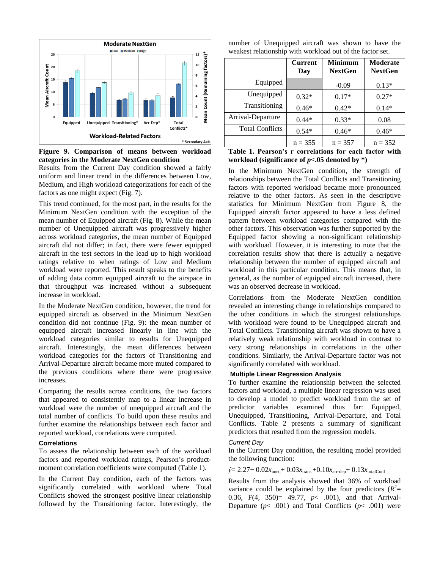

**Figure 9. Comparison of means between workload categories in the Moderate NextGen condition**

Results from the Current Day condition showed a fairly uniform and linear trend in the differences between Low, Medium, and High workload categorizations for each of the factors as one might expect (Fig. 7).

This trend continued, for the most part, in the results for the Minimum NextGen condition with the exception of the mean number of Equipped aircraft (Fig. 8). While the mean number of Unequipped aircraft was progressively higher across workload categories, the mean number of Equipped aircraft did not differ; in fact, there were fewer equipped aircraft in the test sectors in the lead up to high workload ratings relative to when ratings of Low and Medium workload were reported. This result speaks to the benefits of adding data comm equipped aircraft to the airspace in that throughput was increased without a subsequent increase in workload.

In the Moderate NextGen condition, however, the trend for equipped aircraft as observed in the Minimum NextGen condition did not continue (Fig. 9): the mean number of equipped aircraft increased linearly in line with the workload categories similar to results for Unequipped aircraft. Interestingly, the mean differences between workload categories for the factors of Transitioning and Arrival-Departure aircraft became more muted compared to the previous conditions where there were progressive increases.

Comparing the results across conditions, the two factors that appeared to consistently map to a linear increase in workload were the number of unequipped aircraft and the total number of conflicts. To build upon these results and further examine the relationships between each factor and reported workload, correlations were computed.

#### **Correlations**

To assess the relationship between each of the workload factors and reported workload ratings, Pearson's productmoment correlation coefficients were computed (Table 1).

In the Current Day condition, each of the factors was significantly correlated with workload where Total Conflicts showed the strongest positive linear relationship followed by the Transitioning factor. Interestingly, the

| number of Unequipped aircraft was shown to have the       |  |  |  |  |  |
|-----------------------------------------------------------|--|--|--|--|--|
| weakest relationship with workload out of the factor set. |  |  |  |  |  |

|                        | <b>Current</b><br>Day | <b>Minimum</b><br><b>NextGen</b> | <b>Moderate</b><br><b>NextGen</b> |
|------------------------|-----------------------|----------------------------------|-----------------------------------|
| Equipped               |                       | $-0.09$                          | $0.13*$                           |
| Unequipped             | $0.32*$               | $0.17*$                          | $0.27*$                           |
| Transitioning          | $0.46*$               | $0.42*$                          | $0.14*$                           |
| Arrival-Departure      | $0.44*$               | $0.33*$                          | 0.08                              |
| <b>Total Conflicts</b> | $0.54*$               | $0.46*$                          | $0.46*$                           |
|                        | $n = 355$             | $n = 357$                        | $n = 352$                         |

**Table 1. Pearson's r correlations for each factor with workload (significance of** *p***<.05 denoted by \*)**

In the Minimum NextGen condition, the strength of relationships between the Total Conflicts and Transitioning factors with reported workload became more pronounced relative to the other factors. As seen in the descriptive statistics for Minimum NextGen from Figure 8, the Equipped aircraft factor appeared to have a less defined pattern between workload categories compared with the other factors. This observation was further supported by the Equipped factor showing a non-significant relationship with workload. However, it is interesting to note that the correlation results show that there is actually a negative relationship between the number of equipped aircraft and workload in this particular condition. This means that, in general, as the number of equipped aircraft increased, there was an observed decrease in workload.

Correlations from the Moderate NextGen condition revealed an interesting change in relationships compared to the other conditions in which the strongest relationships with workload were found to be Unequipped aircraft and Total Conflicts. Transitioning aircraft was shown to have a relatively weak relationship with workload in contrast to very strong relationships in correlations in the other conditions. Similarly, the Arrival-Departure factor was not significantly correlated with workload.

# **Multiple Linear Regression Analysis**

To further examine the relationship between the selected factors and workload, a multiple linear regression was used to develop a model to predict workload from the set of predictor variables examined thus far: Equipped, Unequipped, Transitioning, Arrival-Departure, and Total Conflicts. Table 2 presents a summary of significant predictors that resulted from the regression models.

#### *Current Day*

In the Current Day condition, the resulting model provided the following function:

 $\hat{y} = 2.27 + 0.02x_{\text{uneq}} + 0.03x_{\text{trans}} + 0.10x_{\text{arr-dep}} + 0.13x_{\text{totalConf}}$ 

Results from the analysis showed that 36% of workload variance could be explained by the four predictors  $(R^2 =$ 0.36, F(4, 350)= 49.77, *p*< .001), and that Arrival-Departure ( $p$ < .001) and Total Conflicts ( $p$ < .001) were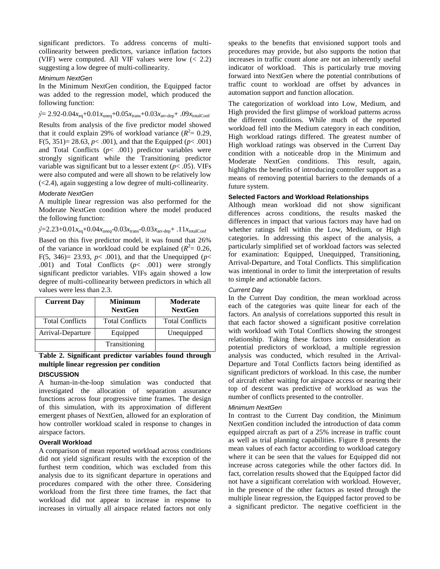significant predictors. To address concerns of multicollinearity between predictors, variance inflation factors (VIF) were computed. All VIF values were low (< 2.2) suggesting a low degree of multi-collinearity.

# *Minimum NextGen*

In the Minimum NextGen condition, the Equipped factor was added to the regression model, which produced the following function:

 $\hat{y} = 2.92 - 0.04x_{eq} + 0.01x_{uneq} + 0.05x_{trans} + 0.03x_{arr-dep} + .09x_{totalConf}$ 

Results from analysis of the five predictor model showed that it could explain 29% of workload variance  $(R^2 = 0.29)$ , F(5, 351)= 28.63, *p*< .001), and that the Equipped (*p*< .001) and Total Conflicts  $(p< .001)$  predictor variables were strongly significant while the Transitioning predictor variable was significant but to a lesser extent (*p*< .05). VIFs were also computed and were all shown to be relatively low (<2.4), again suggesting a low degree of multi-collinearity.

# *Moderate NextGen*

A multiple linear regression was also performed for the Moderate NextGen condition where the model produced the following function:

 $\hat{y}$ =2.23+0.01 $x_{eq}$ +0.04 $x_{uneq}$ -0.03 $x_{trans}$ -0.03 $x_{arr-dep}$ + .11 $x_{totalConf}$ 

Based on this five predictor model, it was found that 26% of the variance in workload could be explained  $(R^2 = 0.26,$ F(5, 346)= 23.93,  $p$ < .001), and that the Unequipped ( $p$  < .001) and Total Conflicts  $(p< .001)$  were strongly significant predictor variables. VIFs again showed a low degree of multi-collinearity between predictors in which all values were less than 2.3.

| <b>Current Day</b>     | <b>Minimum</b><br><b>NextGen</b> | <b>Moderate</b><br><b>NextGen</b> |
|------------------------|----------------------------------|-----------------------------------|
| <b>Total Conflicts</b> | <b>Total Conflicts</b>           | <b>Total Conflicts</b>            |
| Arrival-Departure      | Equipped                         | Unequipped                        |
|                        | Transitioning                    |                                   |

# **Table 2. Significant predictor variables found through multiple linear regression per condition**

# **DISCUSSION**

A human-in-the-loop simulation was conducted that investigated the allocation of separation assurance functions across four progressive time frames. The design of this simulation, with its approximation of different emergent phases of NextGen, allowed for an exploration of how controller workload scaled in response to changes in airspace factors.

# **Overall Workload**

A comparison of mean reported workload across conditions did not yield significant results with the exception of the furthest term condition, which was excluded from this analysis due to its significant departure in operations and procedures compared with the other three. Considering workload from the first three time frames, the fact that workload did not appear to increase in response to increases in virtually all airspace related factors not only

speaks to the benefits that envisioned support tools and procedures may provide, but also supports the notion that increases in traffic count alone are not an inherently useful indicator of workload. This is particularly true moving forward into NextGen where the potential contributions of traffic count to workload are offset by advances in automation support and function allocation.

The categorization of workload into Low, Medium, and High provided the first glimpse of workload patterns across the different conditions. While much of the reported workload fell into the Medium category in each condition, High workload ratings differed. The greatest number of High workload ratings was observed in the Current Day condition with a noticeable drop in the Minimum and Moderate NextGen conditions. This result, again, highlights the benefits of introducing controller support as a means of removing potential barriers to the demands of a future system.

# **Selected Factors and Workload Relationships**

Although mean workload did not show significant differences across conditions, the results masked the differences in impact that various factors may have had on whether ratings fell within the Low, Medium, or High categories. In addressing this aspect of the analysis, a particularly simplified set of workload factors was selected for examination: Equipped, Unequipped, Transitioning, Arrival-Departure, and Total Conflicts. This simplification was intentional in order to limit the interpretation of results to simple and actionable factors.

# *Current Day*

In the Current Day condition, the mean workload across each of the categories was quite linear for each of the factors. An analysis of correlations supported this result in that each factor showed a significant positive correlation with workload with Total Conflicts showing the strongest relationship. Taking these factors into consideration as potential predictors of workload, a multiple regression analysis was conducted, which resulted in the Arrival-Departure and Total Conflicts factors being identified as significant predictors of workload. In this case, the number of aircraft either waiting for airspace access or nearing their top of descent was predictive of workload as was the number of conflicts presented to the controller.

# *Minimum NextGen*

In contrast to the Current Day condition, the Minimum NextGen condition included the introduction of data comm equipped aircraft as part of a 25% increase in traffic count as well as trial planning capabilities. Figure 8 presents the mean values of each factor according to workload category where it can be seen that the values for Equipped did not increase across categories while the other factors did. In fact, correlation results showed that the Equipped factor did not have a significant correlation with workload. However, in the presence of the other factors as tested through the multiple linear regression, the Equipped factor proved to be a significant predictor. The negative coefficient in the